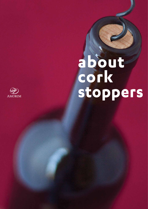# about<br>cork<br>stoppers